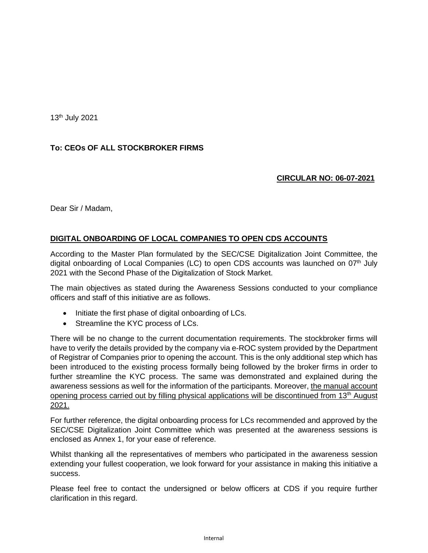13 th July 2021

## **To: CEOs OF ALL STOCKBROKER FIRMS**

## **CIRCULAR NO: 06-07-2021**

Dear Sir / Madam,

## **DIGITAL ONBOARDING OF LOCAL COMPANIES TO OPEN CDS ACCOUNTS**

According to the Master Plan formulated by the SEC/CSE Digitalization Joint Committee, the digital onboarding of Local Companies (LC) to open CDS accounts was launched on  $07<sup>th</sup>$  July 2021 with the Second Phase of the Digitalization of Stock Market.

The main objectives as stated during the Awareness Sessions conducted to your compliance officers and staff of this initiative are as follows.

- Initiate the first phase of digital onboarding of LCs.
- Streamline the KYC process of LCs.

There will be no change to the current documentation requirements. The stockbroker firms will have to verify the details provided by the company via e-ROC system provided by the Department of Registrar of Companies prior to opening the account. This is the only additional step which has been introduced to the existing process formally being followed by the broker firms in order to further streamline the KYC process. The same was demonstrated and explained during the awareness sessions as well for the information of the participants. Moreover, the manual account opening process carried out by filling physical applications will be discontinued from 13<sup>th</sup> August 2021.

For further reference, the digital onboarding process for LCs recommended and approved by the SEC/CSE Digitalization Joint Committee which was presented at the awareness sessions is enclosed as Annex 1, for your ease of reference.

Whilst thanking all the representatives of members who participated in the awareness session extending your fullest cooperation, we look forward for your assistance in making this initiative a success.

Please feel free to contact the undersigned or below officers at CDS if you require further clarification in this regard.